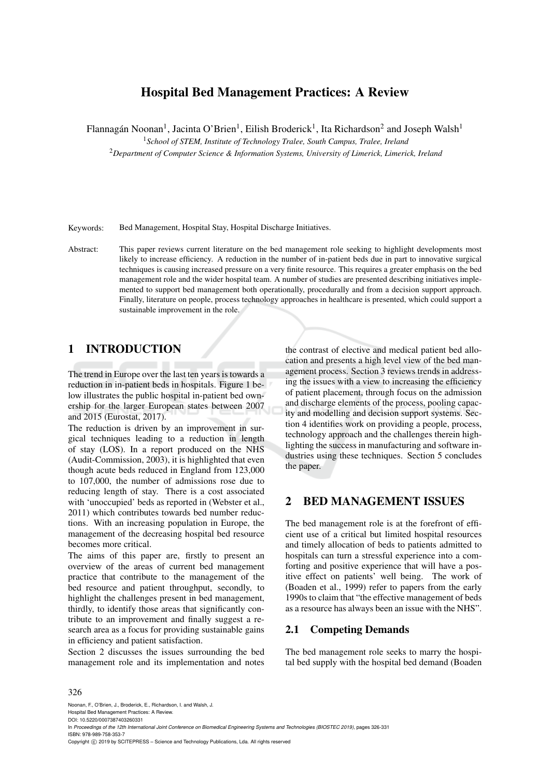# Hospital Bed Management Practices: A Review

Flannagán Noonan<sup>1</sup>, Jacinta O'Brien<sup>1</sup>, Eilish Broderick<sup>1</sup>, Ita Richardson<sup>2</sup> and Joseph Walsh<sup>1</sup>

<sup>1</sup>*School of STEM, Institute of Technology Tralee, South Campus, Tralee, Ireland*

<sup>2</sup>*Department of Computer Science & Information Systems, University of Limerick, Limerick, Ireland*

Keywords: Bed Management, Hospital Stay, Hospital Discharge Initiatives.

Abstract: This paper reviews current literature on the bed management role seeking to highlight developments most likely to increase efficiency. A reduction in the number of in-patient beds due in part to innovative surgical techniques is causing increased pressure on a very finite resource. This requires a greater emphasis on the bed management role and the wider hospital team. A number of studies are presented describing initiatives implemented to support bed management both operationally, procedurally and from a decision support approach. Finally, literature on people, process technology approaches in healthcare is presented, which could support a sustainable improvement in the role.

## 1 INTRODUCTION

The trend in Europe over the last ten years is towards a reduction in in-patient beds in hospitals. Figure 1 below illustrates the public hospital in-patient bed ownership for the larger European states between 2007 and 2015 (Eurostat, 2017).

The reduction is driven by an improvement in surgical techniques leading to a reduction in length of stay (LOS). In a report produced on the NHS (Audit-Commission, 2003), it is highlighted that even though acute beds reduced in England from 123,000 to 107,000, the number of admissions rose due to reducing length of stay. There is a cost associated with 'unoccupied' beds as reported in (Webster et al., 2011) which contributes towards bed number reductions. With an increasing population in Europe, the management of the decreasing hospital bed resource becomes more critical.

The aims of this paper are, firstly to present an overview of the areas of current bed management practice that contribute to the management of the bed resource and patient throughput, secondly, to highlight the challenges present in bed management, thirdly, to identify those areas that significantly contribute to an improvement and finally suggest a research area as a focus for providing sustainable gains in efficiency and patient satisfaction.

Section 2 discusses the issues surrounding the bed management role and its implementation and notes

the contrast of elective and medical patient bed allocation and presents a high level view of the bed management process. Section 3 reviews trends in addressing the issues with a view to increasing the efficiency of patient placement, through focus on the admission and discharge elements of the process, pooling capacity and modelling and decision support systems. Section 4 identifies work on providing a people, process, technology approach and the challenges therein highlighting the success in manufacturing and software industries using these techniques. Section 5 concludes the paper.

### 2 BED MANAGEMENT ISSUES

The bed management role is at the forefront of efficient use of a critical but limited hospital resources and timely allocation of beds to patients admitted to hospitals can turn a stressful experience into a comforting and positive experience that will have a positive effect on patients' well being. The work of (Boaden et al., 1999) refer to papers from the early 1990s to claim that "the effective management of beds as a resource has always been an issue with the NHS".

### 2.1 Competing Demands

The bed management role seeks to marry the hospital bed supply with the hospital bed demand (Boaden

#### 326

Noonan, F., O'Brien, J., Broderick, E., Richardson, I. and Walsh, J.

Hospital Bed Management Practices: A Review. DOI: 10.5220/0007387403260331

In *Proceedings of the 12th International Joint Conference on Biomedical Engineering Systems and Technologies (BIOSTEC 2019)*, pages 326-331 ISBN: 978-989-758-353-7

Copyright © 2019 by SCITEPRESS - Science and Technology Publications, Lda. All rights reserved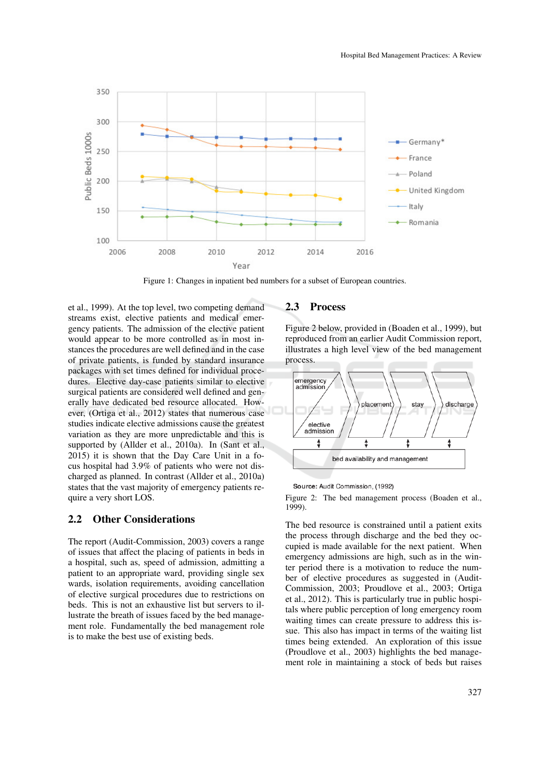

Figure 1: Changes in inpatient bed numbers for a subset of European countries.

et al., 1999). At the top level, two competing demand streams exist, elective patients and medical emergency patients. The admission of the elective patient would appear to be more controlled as in most instances the procedures are well defined and in the case of private patients, is funded by standard insurance packages with set times defined for individual procedures. Elective day-case patients similar to elective surgical patients are considered well defined and generally have dedicated bed resource allocated. However, (Ortiga et al., 2012) states that numerous case studies indicate elective admissions cause the greatest variation as they are more unpredictable and this is supported by (Allder et al., 2010a). In (Sant et al., 2015) it is shown that the Day Care Unit in a focus hospital had 3.9% of patients who were not discharged as planned. In contrast (Allder et al., 2010a) states that the vast majority of emergency patients require a very short LOS.

#### 2.2 Other Considerations

The report (Audit-Commission, 2003) covers a range of issues that affect the placing of patients in beds in a hospital, such as, speed of admission, admitting a patient to an appropriate ward, providing single sex wards, isolation requirements, avoiding cancellation of elective surgical procedures due to restrictions on beds. This is not an exhaustive list but servers to illustrate the breath of issues faced by the bed management role. Fundamentally the bed management role is to make the best use of existing beds.

#### 2.3 Process

Figure 2 below, provided in (Boaden et al., 1999), but reproduced from an earlier Audit Commission report, illustrates a high level view of the bed management process.



#### Source: Audit Commission, (1992)

Figure 2: The bed management process (Boaden et al., 1999).

The bed resource is constrained until a patient exits the process through discharge and the bed they occupied is made available for the next patient. When emergency admissions are high, such as in the winter period there is a motivation to reduce the number of elective procedures as suggested in (Audit-Commission, 2003; Proudlove et al., 2003; Ortiga et al., 2012). This is particularly true in public hospitals where public perception of long emergency room waiting times can create pressure to address this issue. This also has impact in terms of the waiting list times being extended. An exploration of this issue (Proudlove et al., 2003) highlights the bed management role in maintaining a stock of beds but raises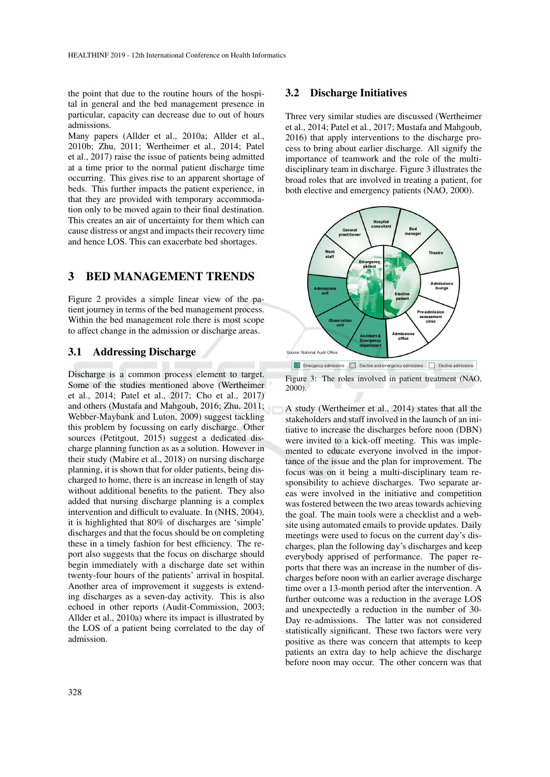the point that due to the routine hours of the hospital in general and the bed management presence in particular, capacity can decrease due to out of hours admissions.

Many papers (Allder et al., 2010a; Allder et al., 2010b; Zhu, 2011; Wertheimer et al., 2014; Patel et al., 2017) raise the issue of patients being admitted at a time prior to the normal patient discharge time occurring. This gives rise to an apparent shortage of beds. This further impacts the patient experience, in that they are provided with temporary accommodation only to be moved again to their final destination. This creates an air of uncertainty for them which can cause distress or angst and impacts their recovery time and hence LOS. This can exacerbate bed shortages.

### 3 BED MANAGEMENT TRENDS

Figure 2 provides a simple linear view of the patient journey in terms of the bed management process. Within the bed management role there is most scope to affect change in the admission or discharge areas.

#### 3.1 Addressing Discharge

Discharge is a common process element to target. Some of the studies mentioned above (Wertheimer et al., 2014; Patel et al., 2017; Cho et al., 2017) and others (Mustafa and Mahgoub, 2016; Zhu, 2011; Webber-Maybank and Luton, 2009) suggest tackling this problem by focussing on early discharge. Other sources (Petitgout, 2015) suggest a dedicated discharge planning function as as a solution. However in their study (Mabire et al., 2018) on nursing discharge planning, it is shown that for older patients, being discharged to home, there is an increase in length of stay without additional benefits to the patient. They also added that nursing discharge planning is a complex intervention and difficult to evaluate. In (NHS, 2004), it is highlighted that 80% of discharges are 'simple' discharges and that the focus should be on completing these in a timely fashion for best efficiency. The report also suggests that the focus on discharge should begin immediately with a discharge date set within twenty-four hours of the patients' arrival in hospital. Another area of improvement it suggests is extending discharges as a seven-day activity. This is also echoed in other reports (Audit-Commission, 2003; Allder et al., 2010a) where its impact is illustrated by the LOS of a patient being correlated to the day of admission.

#### 3.2 Discharge Initiatives

Three very similar studies are discussed (Wertheimer et al., 2014; Patel et al., 2017; Mustafa and Mahgoub, 2016) that apply interventions to the discharge process to bring about earlier discharge. All signify the importance of teamwork and the role of the multidisciplinary team in discharge. Figure 3 illustrates the broad roles that are involved in treating a patient, for both elective and emergency patients (NAO, 2000).



Figure 3: The roles involved in patient treatment (NAO, 2000).

A study (Wertheimer et al., 2014) states that all the stakeholders and staff involved in the launch of an initiative to increase the discharges before noon (DBN) were invited to a kick-off meeting. This was implemented to educate everyone involved in the importance of the issue and the plan for improvement. The focus was on it being a multi-disciplinary team responsibility to achieve discharges. Two separate areas were involved in the initiative and competition was fostered between the two areas towards achieving the goal. The main tools were a checklist and a website using automated emails to provide updates. Daily meetings were used to focus on the current day's discharges, plan the following day's discharges and keep everybody apprised of performance. The paper reports that there was an increase in the number of discharges before noon with an earlier average discharge time over a 13-month period after the intervention. A further outcome was a reduction in the average LOS and unexpectedly a reduction in the number of 30- Day re-admissions. The latter was not considered statistically significant. These two factors were very positive as there was concern that attempts to keep patients an extra day to help achieve the discharge before noon may occur. The other concern was that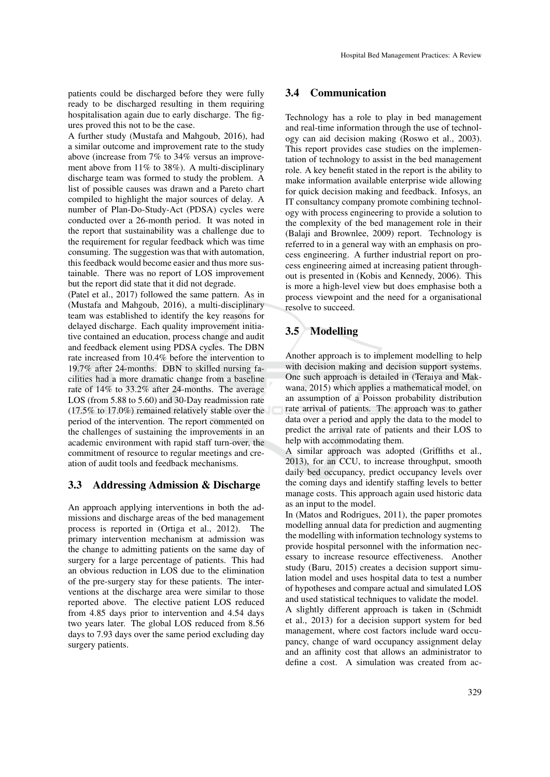patients could be discharged before they were fully ready to be discharged resulting in them requiring hospitalisation again due to early discharge. The figures proved this not to be the case.

A further study (Mustafa and Mahgoub, 2016), had a similar outcome and improvement rate to the study above (increase from 7% to 34% versus an improvement above from 11% to 38%). A multi-disciplinary discharge team was formed to study the problem. A list of possible causes was drawn and a Pareto chart compiled to highlight the major sources of delay. A number of Plan-Do-Study-Act (PDSA) cycles were conducted over a 26-month period. It was noted in the report that sustainability was a challenge due to the requirement for regular feedback which was time consuming. The suggestion was that with automation, this feedback would become easier and thus more sustainable. There was no report of LOS improvement but the report did state that it did not degrade.

(Patel et al., 2017) followed the same pattern. As in (Mustafa and Mahgoub, 2016), a multi-disciplinary team was established to identify the key reasons for delayed discharge. Each quality improvement initiative contained an education, process change and audit and feedback element using PDSA cycles. The DBN rate increased from 10.4% before the intervention to 19.7% after 24-months. DBN to skilled nursing facilities had a more dramatic change from a baseline rate of 14% to 33.2% after 24-months. The average LOS (from 5.88 to 5.60) and 30-Day readmission rate (17.5% to 17.0%) remained relatively stable over the period of the intervention. The report commented on the challenges of sustaining the improvements in an academic environment with rapid staff turn-over, the commitment of resource to regular meetings and creation of audit tools and feedback mechanisms.

#### 3.3 Addressing Admission & Discharge

An approach applying interventions in both the admissions and discharge areas of the bed management process is reported in (Ortiga et al., 2012). The primary intervention mechanism at admission was the change to admitting patients on the same day of surgery for a large percentage of patients. This had an obvious reduction in LOS due to the elimination of the pre-surgery stay for these patients. The interventions at the discharge area were similar to those reported above. The elective patient LOS reduced from 4.85 days prior to intervention and 4.54 days two years later. The global LOS reduced from 8.56 days to 7.93 days over the same period excluding day surgery patients.

#### 3.4 Communication

Technology has a role to play in bed management and real-time information through the use of technology can aid decision making (Roswo et al., 2003). This report provides case studies on the implementation of technology to assist in the bed management role. A key benefit stated in the report is the ability to make information available enterprise wide allowing for quick decision making and feedback. Infosys, an IT consultancy company promote combining technology with process engineering to provide a solution to the complexity of the bed management role in their (Balaji and Brownlee, 2009) report. Technology is referred to in a general way with an emphasis on process engineering. A further industrial report on process engineering aimed at increasing patient throughout is presented in (Kobis and Kennedy, 2006). This is more a high-level view but does emphasise both a process viewpoint and the need for a organisational resolve to succeed.

### 3.5 Modelling

Another approach is to implement modelling to help with decision making and decision support systems. One such approach is detailed in (Teraiya and Makwana, 2015) which applies a mathematical model, on an assumption of a Poisson probability distribution rate arrival of patients. The approach was to gather data over a period and apply the data to the model to predict the arrival rate of patients and their LOS to help with accommodating them.

A similar approach was adopted (Griffiths et al., 2013), for an CCU, to increase throughput, smooth daily bed occupancy, predict occupancy levels over the coming days and identify staffing levels to better manage costs. This approach again used historic data as an input to the model.

In (Matos and Rodrigues, 2011), the paper promotes modelling annual data for prediction and augmenting the modelling with information technology systems to provide hospital personnel with the information necessary to increase resource effectiveness. Another study (Baru, 2015) creates a decision support simulation model and uses hospital data to test a number of hypotheses and compare actual and simulated LOS and used statistical techniques to validate the model. A slightly different approach is taken in (Schmidt et al., 2013) for a decision support system for bed management, where cost factors include ward occupancy, change of ward occupancy assignment delay and an affinity cost that allows an administrator to define a cost. A simulation was created from ac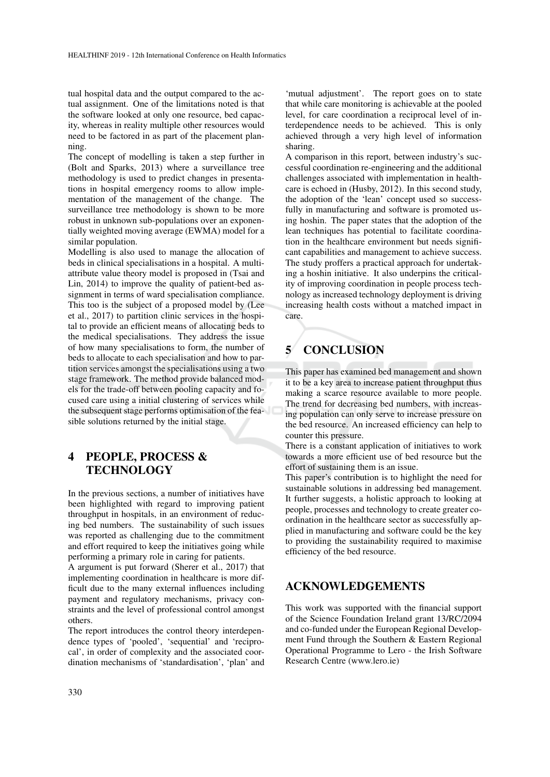tual hospital data and the output compared to the actual assignment. One of the limitations noted is that the software looked at only one resource, bed capacity, whereas in reality multiple other resources would need to be factored in as part of the placement planning.

The concept of modelling is taken a step further in (Bolt and Sparks, 2013) where a surveillance tree methodology is used to predict changes in presentations in hospital emergency rooms to allow implementation of the management of the change. The surveillance tree methodology is shown to be more robust in unknown sub-populations over an exponentially weighted moving average (EWMA) model for a similar population.

Modelling is also used to manage the allocation of beds in clinical specialisations in a hospital. A multiattribute value theory model is proposed in (Tsai and Lin, 2014) to improve the quality of patient-bed assignment in terms of ward specialisation compliance. This too is the subject of a proposed model by (Lee et al., 2017) to partition clinic services in the hospital to provide an efficient means of allocating beds to the medical specialisations. They address the issue of how many specialisations to form, the number of beds to allocate to each specialisation and how to partition services amongst the specialisations using a two stage framework. The method provide balanced models for the trade-off between pooling capacity and focused care using a initial clustering of services while the subsequent stage performs optimisation of the feasible solutions returned by the initial stage.

## 4 PEOPLE, PROCESS & **TECHNOLOGY**

In the previous sections, a number of initiatives have been highlighted with regard to improving patient throughput in hospitals, in an environment of reducing bed numbers. The sustainability of such issues was reported as challenging due to the commitment and effort required to keep the initiatives going while performing a primary role in caring for patients.

A argument is put forward (Sherer et al., 2017) that implementing coordination in healthcare is more difficult due to the many external influences including payment and regulatory mechanisms, privacy constraints and the level of professional control amongst others.

The report introduces the control theory interdependence types of 'pooled', 'sequential' and 'reciprocal', in order of complexity and the associated coordination mechanisms of 'standardisation', 'plan' and

'mutual adjustment'. The report goes on to state that while care monitoring is achievable at the pooled level, for care coordination a reciprocal level of interdependence needs to be achieved. This is only achieved through a very high level of information sharing.

A comparison in this report, between industry's successful coordination re-engineering and the additional challenges associated with implementation in healthcare is echoed in (Husby, 2012). In this second study, the adoption of the 'lean' concept used so successfully in manufacturing and software is promoted using hoshin. The paper states that the adoption of the lean techniques has potential to facilitate coordination in the healthcare environment but needs significant capabilities and management to achieve success. The study proffers a practical approach for undertaking a hoshin initiative. It also underpins the criticality of improving coordination in people process technology as increased technology deployment is driving increasing health costs without a matched impact in care.

# 5 CONCLUSION

This paper has examined bed management and shown it to be a key area to increase patient throughput thus making a scarce resource available to more people. The trend for decreasing bed numbers, with increasing population can only serve to increase pressure on the bed resource. An increased efficiency can help to counter this pressure.

There is a constant application of initiatives to work towards a more efficient use of bed resource but the effort of sustaining them is an issue.

This paper's contribution is to highlight the need for sustainable solutions in addressing bed management. It further suggests, a holistic approach to looking at people, processes and technology to create greater coordination in the healthcare sector as successfully applied in manufacturing and software could be the key to providing the sustainability required to maximise efficiency of the bed resource.

## ACKNOWLEDGEMENTS

This work was supported with the financial support of the Science Foundation Ireland grant 13/RC/2094 and co-funded under the European Regional Development Fund through the Southern & Eastern Regional Operational Programme to Lero - the Irish Software Research Centre (www.lero.ie)